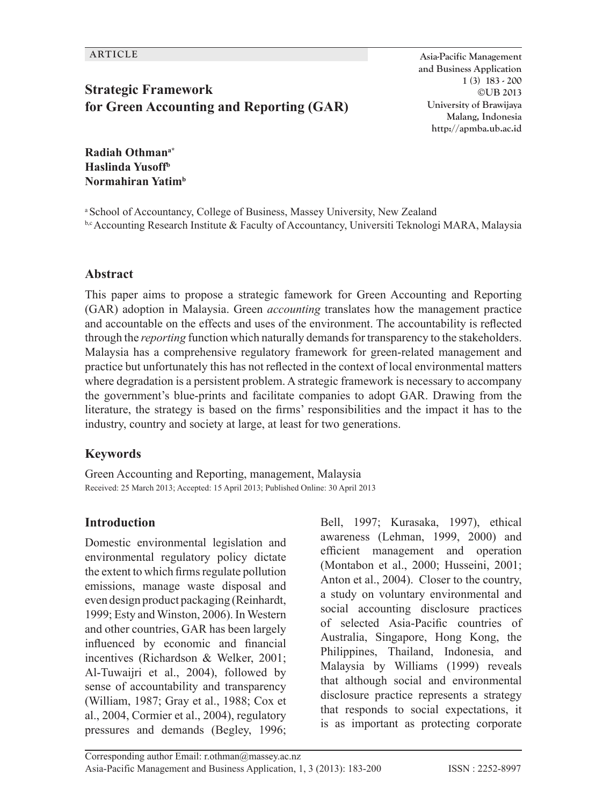# **Strategic Framework for Green Accounting and Reporting (GAR)**

**ARTICLE Asia-Pacific Management and Business Application 1 (3) 183 - 200 ©UB 2013 University of Brawijaya Malang, Indonesia http://apmba.ub.ac.id**

**Radiah Othmana\* Haslinda Yusoffb Normahiran Yatimb**

a School of Accountancy, College of Business, Massey University, New Zealand  $b, c$  Accounting Research Institute & Faculty of Accountancy, Universiti Teknologi MARA, Malaysia

#### **Abstract**

This paper aims to propose a strategic famework for Green Accounting and Reporting (GAR) adoption in Malaysia. Green *accounting* translates how the management practice and accountable on the effects and uses of the environment. The accountability is reflected through the *reporting* function which naturally demands for transparency to the stakeholders. Malaysia has a comprehensive regulatory framework for green-related management and practice but unfortunately this has not reflected in the context of local environmental matters where degradation is a persistent problem. A strategic framework is necessary to accompany the government's blue-prints and facilitate companies to adopt GAR. Drawing from the literature, the strategy is based on the firms' responsibilities and the impact it has to the industry, country and society at large, at least for two generations.

#### **Keywords**

Green Accounting and Reporting, management, Malaysia Received: 25 March 2013; Accepted: 15 April 2013; Published Online: 30 April 2013

#### **Introduction**

Domestic environmental legislation and environmental regulatory policy dictate the extent to which firms regulate pollution emissions, manage waste disposal and even design product packaging (Reinhardt, 1999; Esty and Winston, 2006). In Western and other countries, GAR has been largely influenced by economic and financial incentives (Richardson & Welker, 2001; Al-Tuwaijri et al., 2004), followed by sense of accountability and transparency (William, 1987; Gray et al., 1988; Cox et al., 2004, Cormier et al., 2004), regulatory pressures and demands (Begley, 1996; Bell, 1997; Kurasaka, 1997), ethical awareness (Lehman, 1999, 2000) and efficient management and operation (Montabon et al., 2000; Husseini, 2001; Anton et al., 2004). Closer to the country, a study on voluntary environmental and social accounting disclosure practices of selected Asia-Pacific countries of Australia, Singapore, Hong Kong, the Philippines, Thailand, Indonesia, and Malaysia by Williams (1999) reveals that although social and environmental disclosure practice represents a strategy that responds to social expectations, it is as important as protecting corporate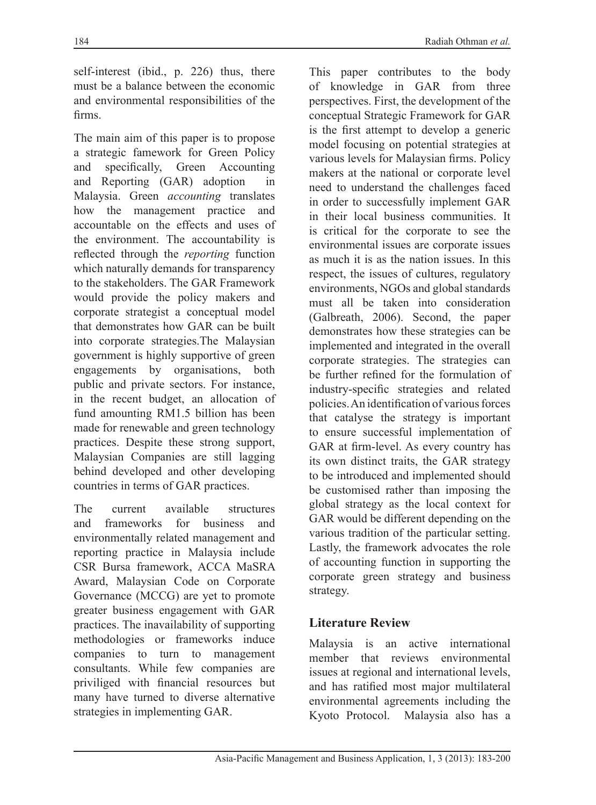self-interest (ibid., p. 226) thus, there must be a balance between the economic and environmental responsibilities of the firms.

The main aim of this paper is to propose a strategic famework for Green Policy and specifically, Green Accounting and Reporting (GAR) adoption in Malaysia. Green *accounting* translates how the management practice and accountable on the effects and uses of the environment. The accountability is reflected through the *reporting* function which naturally demands for transparency to the stakeholders. The GAR Framework would provide the policy makers and corporate strategist a conceptual model that demonstrates how GAR can be built into corporate strategies.The Malaysian government is highly supportive of green engagements by organisations, both public and private sectors. For instance, in the recent budget, an allocation of fund amounting RM1.5 billion has been made for renewable and green technology practices. Despite these strong support, Malaysian Companies are still lagging behind developed and other developing countries in terms of GAR practices.

The current available structures and frameworks for business and environmentally related management and reporting practice in Malaysia include CSR Bursa framework, ACCA MaSRA Award, Malaysian Code on Corporate Governance (MCCG) are yet to promote greater business engagement with GAR practices. The inavailability of supporting methodologies or frameworks induce companies to turn to management consultants. While few companies are priviliged with financial resources but many have turned to diverse alternative strategies in implementing GAR.

This paper contributes to the body of knowledge in GAR from three perspectives. First, the development of the conceptual Strategic Framework for GAR is the first attempt to develop a generic model focusing on potential strategies at various levels for Malaysian firms. Policy makers at the national or corporate level need to understand the challenges faced in order to successfully implement GAR in their local business communities. It is critical for the corporate to see the environmental issues are corporate issues as much it is as the nation issues. In this respect, the issues of cultures, regulatory environments, NGOs and global standards must all be taken into consideration (Galbreath, 2006). Second, the paper demonstrates how these strategies can be implemented and integrated in the overall corporate strategies. The strategies can be further refined for the formulation of industry-specific strategies and related policies. An identification of various forces that catalyse the strategy is important to ensure successful implementation of GAR at firm-level. As every country has its own distinct traits, the GAR strategy to be introduced and implemented should be customised rather than imposing the global strategy as the local context for GAR would be different depending on the various tradition of the particular setting. Lastly, the framework advocates the role of accounting function in supporting the corporate green strategy and business strategy.

### **Literature Review**

Malaysia is an active international member that reviews environmental issues at regional and international levels, and has ratified most major multilateral environmental agreements including the Kyoto Protocol. Malaysia also has a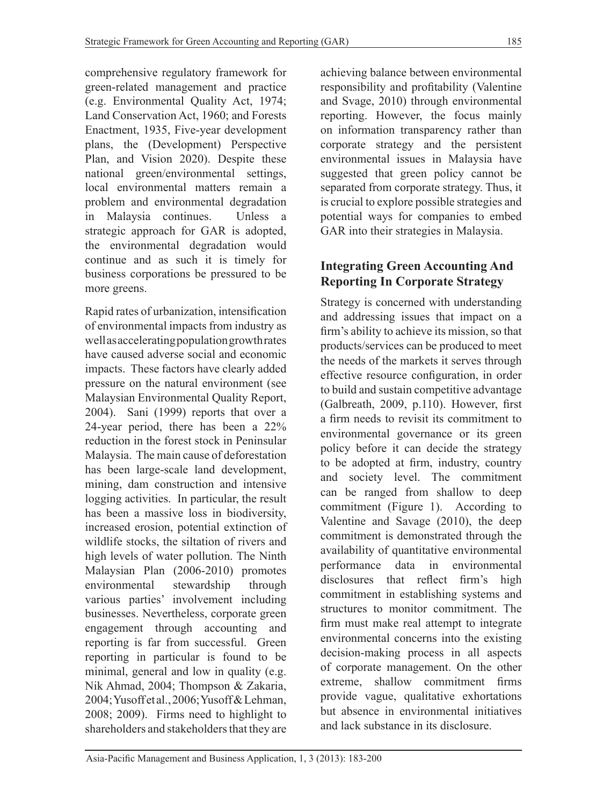comprehensive regulatory framework for green-related management and practice (e.g. Environmental Quality Act, 1974; Land Conservation Act, 1960; and Forests Enactment, 1935, Five-year development plans, the (Development) Perspective Plan, and Vision 2020). Despite these national green/environmental settings, local environmental matters remain a problem and environmental degradation in Malaysia continues. Unless a strategic approach for GAR is adopted, the environmental degradation would continue and as such it is timely for business corporations be pressured to be more greens.

Rapid rates of urbanization, intensification of environmental impacts from industry as well as accelerating population growth rates have caused adverse social and economic impacts. These factors have clearly added pressure on the natural environment (see Malaysian Environmental Quality Report, 2004). Sani (1999) reports that over a 24-year period, there has been a 22% reduction in the forest stock in Peninsular Malaysia. The main cause of deforestation has been large-scale land development, mining, dam construction and intensive logging activities. In particular, the result has been a massive loss in biodiversity, increased erosion, potential extinction of wildlife stocks, the siltation of rivers and high levels of water pollution. The Ninth Malaysian Plan (2006-2010) promotes environmental stewardship through various parties' involvement including businesses. Nevertheless, corporate green engagement through accounting and reporting is far from successful. Green reporting in particular is found to be minimal, general and low in quality (e.g. Nik Ahmad, 2004; Thompson & Zakaria, 2004; Yusoff et al., 2006; Yusoff & Lehman, 2008; 2009). Firms need to highlight to shareholders and stakeholders that they are

achieving balance between environmental responsibility and profitability (Valentine and Svage, 2010) through environmental reporting. However, the focus mainly on information transparency rather than corporate strategy and the persistent environmental issues in Malaysia have suggested that green policy cannot be separated from corporate strategy. Thus, it is crucial to explore possible strategies and potential ways for companies to embed GAR into their strategies in Malaysia.

# **Integrating Green Accounting And Reporting In Corporate Strategy**

Strategy is concerned with understanding and addressing issues that impact on a firm's ability to achieve its mission, so that products/services can be produced to meet the needs of the markets it serves through effective resource configuration, in order to build and sustain competitive advantage (Galbreath, 2009, p.110). However, first a firm needs to revisit its commitment to environmental governance or its green policy before it can decide the strategy to be adopted at firm, industry, country and society level. The commitment can be ranged from shallow to deep commitment (Figure 1). According to Valentine and Savage (2010), the deep commitment is demonstrated through the availability of quantitative environmental performance data in environmental disclosures that reflect firm's high commitment in establishing systems and structures to monitor commitment. The firm must make real attempt to integrate environmental concerns into the existing decision-making process in all aspects of corporate management. On the other extreme, shallow commitment firms provide vague, qualitative exhortations but absence in environmental initiatives and lack substance in its disclosure.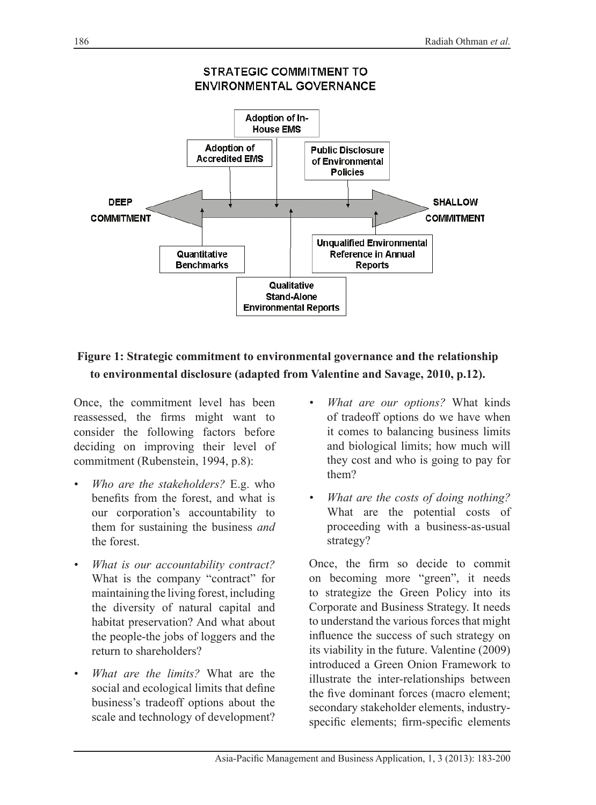

# **Figure 1: Strategic commitment to environmental governance and the relationship to environmental disclosure (adapted from Valentine and Savage, 2010, p.12).**

Once, the commitment level has been reassessed, the firms might want to consider the following factors before deciding on improving their level of commitment (Rubenstein, 1994, p.8):

- *• Who are the stakeholders?* E.g. who benefits from the forest, and what is our corporation's accountability to them for sustaining the business *and* the forest.
- *• What is our accountability contract?* What is the company "contract" for maintaining the living forest, including the diversity of natural capital and habitat preservation? And what about the people-the jobs of loggers and the return to shareholders?
- *• What are the limits?* What are the social and ecological limits that define business's tradeoff options about the scale and technology of development?
- *• What are our options?* What kinds of tradeoff options do we have when it comes to balancing business limits and biological limits; how much will they cost and who is going to pay for them?
- *• What are the costs of doing nothing?* What are the potential costs of proceeding with a business-as-usual strategy?

Once, the firm so decide to commit on becoming more "green", it needs to strategize the Green Policy into its Corporate and Business Strategy. It needs to understand the various forces that might influence the success of such strategy on its viability in the future. Valentine (2009) introduced a Green Onion Framework to illustrate the inter-relationships between the five dominant forces (macro element; secondary stakeholder elements, industryspecific elements; firm-specific elements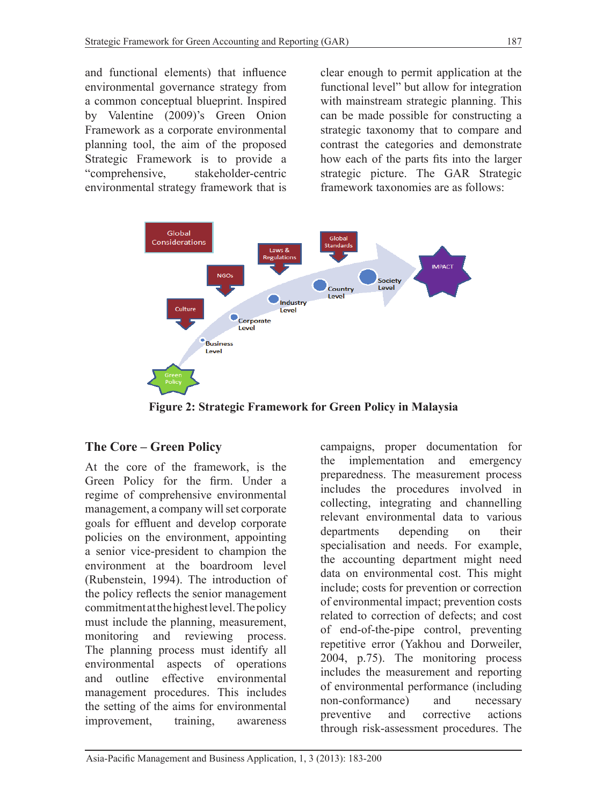and functional elements) that influence environmental governance strategy from a common conceptual blueprint. Inspired by Valentine (2009)'s Green Onion Framework as a corporate environmental planning tool, the aim of the proposed Strategic Framework is to provide a "comprehensive, stakeholder-centric environmental strategy framework that is clear enough to permit application at the functional level" but allow for integration with mainstream strategic planning. This can be made possible for constructing a strategic taxonomy that to compare and contrast the categories and demonstrate how each of the parts fits into the larger strategic picture. The GAR Strategic framework taxonomies are as follows:



**Figure 2: Strategic Framework for Green Policy in Malaysia**

# **The Core – Green Policy**

At the core of the framework, is the Green Policy for the firm. Under a regime of comprehensive environmental management, a company will set corporate goals for effluent and develop corporate policies on the environment, appointing a senior vice-president to champion the environment at the boardroom level (Rubenstein, 1994). The introduction of the policy reflects the senior management commitment at the highest level. The policy must include the planning, measurement, monitoring and reviewing process. The planning process must identify all environmental aspects of operations and outline effective environmental management procedures. This includes the setting of the aims for environmental improvement, training, awareness

campaigns, proper documentation for the implementation and emergency preparedness. The measurement process includes the procedures involved in collecting, integrating and channelling relevant environmental data to various departments depending on their specialisation and needs. For example, the accounting department might need data on environmental cost. This might include; costs for prevention or correction of environmental impact; prevention costs related to correction of defects; and cost of end-of-the-pipe control, preventing repetitive error (Yakhou and Dorweiler, 2004, p.75). The monitoring process includes the measurement and reporting of environmental performance (including non-conformance) and necessary preventive and corrective actions through risk-assessment procedures. The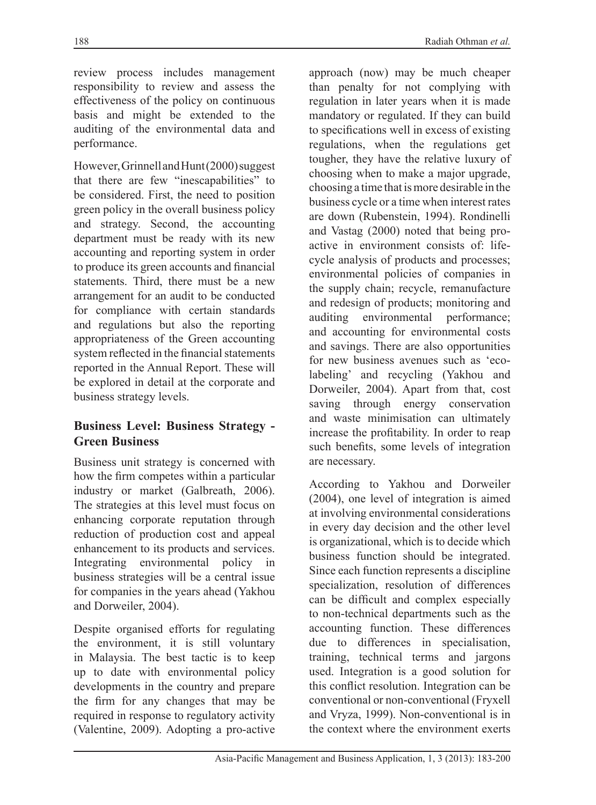review process includes management responsibility to review and assess the effectiveness of the policy on continuous basis and might be extended to the auditing of the environmental data and performance.

However, Grinnell and Hunt (2000) suggest that there are few "inescapabilities" to be considered. First, the need to position green policy in the overall business policy and strategy. Second, the accounting department must be ready with its new accounting and reporting system in order to produce its green accounts and financial statements. Third, there must be a new arrangement for an audit to be conducted for compliance with certain standards and regulations but also the reporting appropriateness of the Green accounting system reflected in the financial statements reported in the Annual Report. These will be explored in detail at the corporate and business strategy levels.

### **Business Level: Business Strategy - Green Business**

Business unit strategy is concerned with how the firm competes within a particular industry or market (Galbreath, 2006). The strategies at this level must focus on enhancing corporate reputation through reduction of production cost and appeal enhancement to its products and services. Integrating environmental policy in business strategies will be a central issue for companies in the years ahead (Yakhou and Dorweiler, 2004).

Despite organised efforts for regulating the environment, it is still voluntary in Malaysia. The best tactic is to keep up to date with environmental policy developments in the country and prepare the firm for any changes that may be required in response to regulatory activity (Valentine, 2009). Adopting a pro-active

approach (now) may be much cheaper than penalty for not complying with regulation in later years when it is made mandatory or regulated. If they can build to specifications well in excess of existing regulations, when the regulations get tougher, they have the relative luxury of choosing when to make a major upgrade, choosing a time that is more desirable in the business cycle or a time when interest rates are down (Rubenstein, 1994). Rondinelli and Vastag (2000) noted that being proactive in environment consists of: lifecycle analysis of products and processes; environmental policies of companies in the supply chain; recycle, remanufacture and redesign of products; monitoring and auditing environmental performance; and accounting for environmental costs and savings. There are also opportunities for new business avenues such as 'ecolabeling' and recycling (Yakhou and Dorweiler, 2004). Apart from that, cost saving through energy conservation and waste minimisation can ultimately increase the profitability. In order to reap such benefits, some levels of integration are necessary.

According to Yakhou and Dorweiler (2004), one level of integration is aimed at involving environmental considerations in every day decision and the other level is organizational, which is to decide which business function should be integrated. Since each function represents a discipline specialization, resolution of differences can be difficult and complex especially to non-technical departments such as the accounting function. These differences due to differences in specialisation, training, technical terms and jargons used. Integration is a good solution for this conflict resolution. Integration can be conventional or non-conventional (Fryxell and Vryza, 1999). Non-conventional is in the context where the environment exerts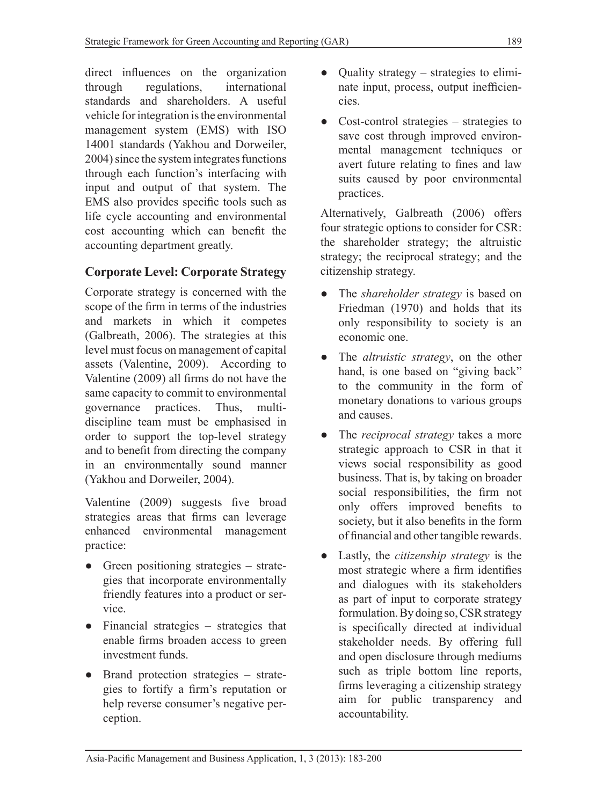direct influences on the organization through regulations, international standards and shareholders. A useful vehicle for integration is the environmental management system (EMS) with ISO 14001 standards (Yakhou and Dorweiler, 2004) since the system integrates functions through each function's interfacing with input and output of that system. The EMS also provides specific tools such as life cycle accounting and environmental cost accounting which can benefit the accounting department greatly.

# **Corporate Level: Corporate Strategy**

Corporate strategy is concerned with the scope of the firm in terms of the industries and markets in which it competes (Galbreath, 2006). The strategies at this level must focus on management of capital assets (Valentine, 2009). According to Valentine (2009) all firms do not have the same capacity to commit to environmental governance practices. Thus, multidiscipline team must be emphasised in order to support the top-level strategy and to benefit from directing the company in an environmentally sound manner (Yakhou and Dorweiler, 2004).

Valentine (2009) suggests five broad strategies areas that firms can leverage enhanced environmental management practice:

- Green positioning strategies strategies that incorporate environmentally friendly features into a product or service.
- Financial strategies strategies that enable firms broaden access to green investment funds.
- Brand protection strategies strategies to fortify a firm's reputation or help reverse consumer's negative perception.
- Quality strategy strategies to eliminate input, process, output inefficiencies.
- $Cost-control$  strategies strategies to save cost through improved environmental management techniques or avert future relating to fines and law suits caused by poor environmental practices.

Alternatively, Galbreath (2006) offers four strategic options to consider for CSR: the shareholder strategy; the altruistic strategy; the reciprocal strategy; and the citizenship strategy.

- The *shareholder strategy* is based on Friedman (1970) and holds that its only responsibility to society is an economic one.
- The *altruistic strategy*, on the other hand, is one based on "giving back" to the community in the form of monetary donations to various groups and causes.
- The *reciprocal strategy* takes a more strategic approach to CSR in that it views social responsibility as good business. That is, by taking on broader social responsibilities, the firm not only offers improved benefits to society, but it also benefits in the form of financial and other tangible rewards.
- Lastly, the *citizenship strategy* is the most strategic where a firm identifies and dialogues with its stakeholders as part of input to corporate strategy formulation. By doing so, CSR strategy is specifically directed at individual stakeholder needs. By offering full and open disclosure through mediums such as triple bottom line reports, firms leveraging a citizenship strategy aim for public transparency and accountability.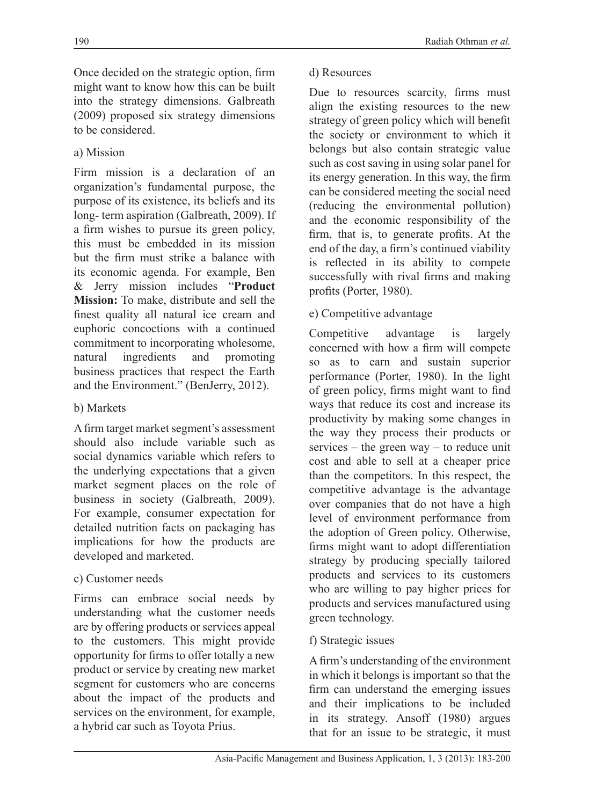Once decided on the strategic option, firm might want to know how this can be built into the strategy dimensions. Galbreath (2009) proposed six strategy dimensions to be considered.

### a) Mission

Firm mission is a declaration of an organization's fundamental purpose, the purpose of its existence, its beliefs and its long- term aspiration (Galbreath, 2009). If a firm wishes to pursue its green policy, this must be embedded in its mission but the firm must strike a balance with its economic agenda. For example, Ben & Jerry mission includes "**Product Mission:** To make, distribute and sell the finest quality all natural ice cream and euphoric concoctions with a continued commitment to incorporating wholesome, natural ingredients and promoting business practices that respect the Earth and the Environment." (BenJerry, 2012).

### b) Markets

A firm target market segment's assessment should also include variable such as social dynamics variable which refers to the underlying expectations that a given market segment places on the role of business in society (Galbreath, 2009). For example, consumer expectation for detailed nutrition facts on packaging has implications for how the products are developed and marketed.

### c) Customer needs

Firms can embrace social needs by understanding what the customer needs are by offering products or services appeal to the customers. This might provide opportunity for firms to offer totally a new product or service by creating new market segment for customers who are concerns about the impact of the products and services on the environment, for example, a hybrid car such as Toyota Prius.

#### d) Resources

Due to resources scarcity, firms must align the existing resources to the new strategy of green policy which will benefit the society or environment to which it belongs but also contain strategic value such as cost saving in using solar panel for its energy generation. In this way, the firm can be considered meeting the social need (reducing the environmental pollution) and the economic responsibility of the firm, that is, to generate profits. At the end of the day, a firm's continued viability is reflected in its ability to compete successfully with rival firms and making profits (Porter, 1980).

### e) Competitive advantage

Competitive advantage is largely concerned with how a firm will compete so as to earn and sustain superior performance (Porter, 1980). In the light of green policy, firms might want to find ways that reduce its cost and increase its productivity by making some changes in the way they process their products or services – the green way – to reduce unit cost and able to sell at a cheaper price than the competitors. In this respect, the competitive advantage is the advantage over companies that do not have a high level of environment performance from the adoption of Green policy. Otherwise, firms might want to adopt differentiation strategy by producing specially tailored products and services to its customers who are willing to pay higher prices for products and services manufactured using green technology.

#### f) Strategic issues

A firm's understanding of the environment in which it belongs is important so that the firm can understand the emerging issues and their implications to be included in its strategy. Ansoff (1980) argues that for an issue to be strategic, it must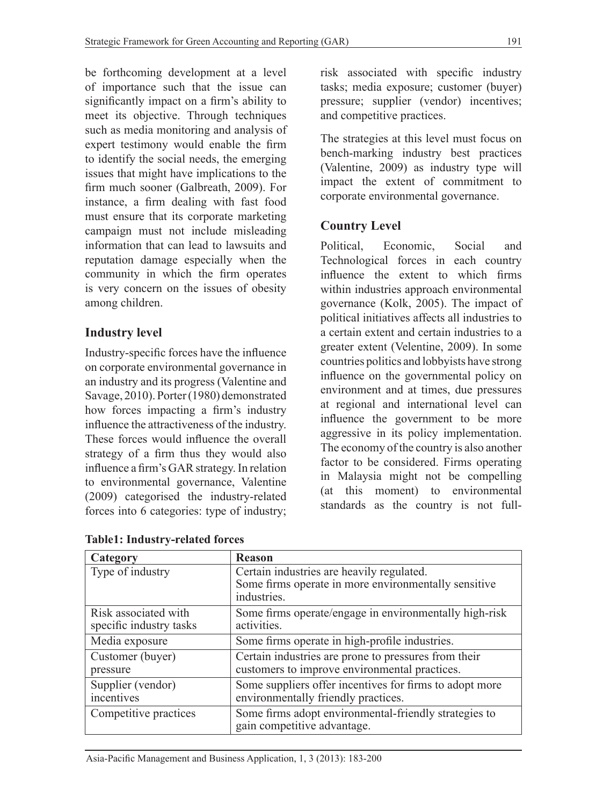be forthcoming development at a level of importance such that the issue can significantly impact on a firm's ability to meet its objective. Through techniques such as media monitoring and analysis of expert testimony would enable the firm to identify the social needs, the emerging issues that might have implications to the firm much sooner (Galbreath, 2009). For instance, a firm dealing with fast food must ensure that its corporate marketing campaign must not include misleading information that can lead to lawsuits and reputation damage especially when the community in which the firm operates is very concern on the issues of obesity among children.

# **Industry level**

Industry-specific forces have the influence on corporate environmental governance in an industry and its progress (Valentine and Savage, 2010). Porter (1980) demonstrated how forces impacting a firm's industry influence the attractiveness of the industry. These forces would influence the overall strategy of a firm thus they would also influence a firm's GAR strategy. In relation to environmental governance, Valentine (2009) categorised the industry-related forces into 6 categories: type of industry; risk associated with specific industry tasks; media exposure; customer (buyer) pressure; supplier (vendor) incentives; and competitive practices.

The strategies at this level must focus on bench-marking industry best practices (Valentine, 2009) as industry type will impact the extent of commitment to corporate environmental governance.

# **Country Level**

Political, Economic, Social and Technological forces in each country influence the extent to which firms within industries approach environmental governance (Kolk, 2005). The impact of political initiatives affects all industries to a certain extent and certain industries to a greater extent (Velentine, 2009). In some countries politics and lobbyists have strong influence on the governmental policy on environment and at times, due pressures at regional and international level can influence the government to be more aggressive in its policy implementation. The economy of the country is also another factor to be considered. Firms operating in Malaysia might not be compelling (at this moment) to environmental standards as the country is not full-

| Category                | <b>Reason</b>                                                                        |
|-------------------------|--------------------------------------------------------------------------------------|
| Type of industry        | Certain industries are heavily regulated.                                            |
|                         | Some firms operate in more environmentally sensitive                                 |
|                         | industries.                                                                          |
| Risk associated with    | Some firms operate/engage in environmentally high-risk                               |
| specific industry tasks | activities.                                                                          |
| Media exposure          | Some firms operate in high-profile industries.                                       |
| Customer (buyer)        | Certain industries are prone to pressures from their                                 |
| pressure                | customers to improve environmental practices.                                        |
| Supplier (vendor)       | Some suppliers offer incentives for firms to adopt more                              |
| incentives              | environmentally friendly practices.                                                  |
| Competitive practices   | Some firms adopt environmental-friendly strategies to<br>gain competitive advantage. |
|                         |                                                                                      |

**Table1: Industry-related forces**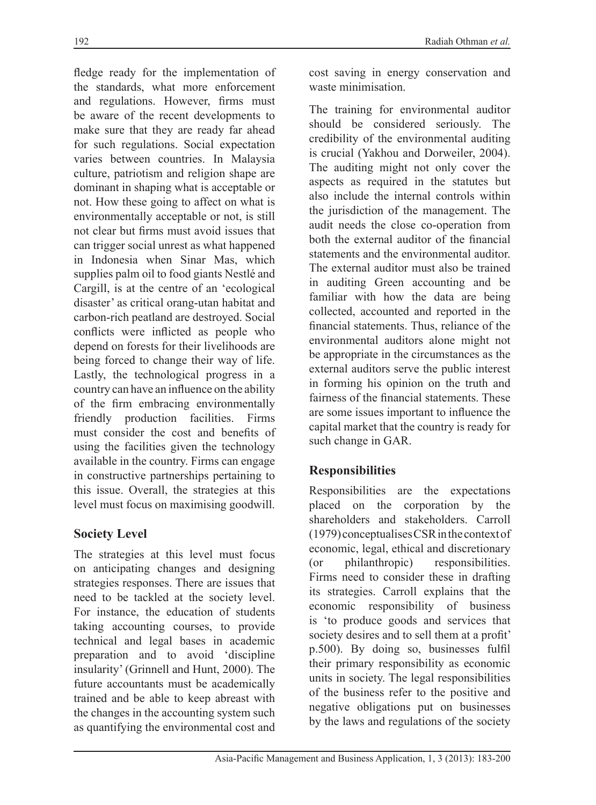fledge ready for the implementation of the standards, what more enforcement and regulations. However, firms must be aware of the recent developments to make sure that they are ready far ahead for such regulations. Social expectation varies between countries. In Malaysia culture, patriotism and religion shape are dominant in shaping what is acceptable or not. How these going to affect on what is environmentally acceptable or not, is still not clear but firms must avoid issues that can trigger social unrest as what happened in Indonesia when Sinar Mas, which supplies palm oil to food giants Nestlé and Cargill, is at the centre of an 'ecological disaster' as critical orang-utan habitat and carbon-rich peatland are destroyed. Social conflicts were inflicted as people who depend on forests for their livelihoods are being forced to change their way of life. Lastly, the technological progress in a country can have an influence on the ability of the firm embracing environmentally friendly production facilities. Firms must consider the cost and benefits of using the facilities given the technology available in the country. Firms can engage in constructive partnerships pertaining to this issue. Overall, the strategies at this level must focus on maximising goodwill.

## **Society Level**

The strategies at this level must focus on anticipating changes and designing strategies responses. There are issues that need to be tackled at the society level. For instance, the education of students taking accounting courses, to provide technical and legal bases in academic preparation and to avoid 'discipline insularity' (Grinnell and Hunt, 2000). The future accountants must be academically trained and be able to keep abreast with the changes in the accounting system such as quantifying the environmental cost and cost saving in energy conservation and waste minimisation.

The training for environmental auditor should be considered seriously. The credibility of the environmental auditing is crucial (Yakhou and Dorweiler, 2004). The auditing might not only cover the aspects as required in the statutes but also include the internal controls within the jurisdiction of the management. The audit needs the close co-operation from both the external auditor of the financial statements and the environmental auditor. The external auditor must also be trained in auditing Green accounting and be familiar with how the data are being collected, accounted and reported in the financial statements. Thus, reliance of the environmental auditors alone might not be appropriate in the circumstances as the external auditors serve the public interest in forming his opinion on the truth and fairness of the financial statements. These are some issues important to influence the capital market that the country is ready for such change in GAR.

## **Responsibilities**

Responsibilities are the expectations placed on the corporation by the shareholders and stakeholders. Carroll (1979) conceptualises CSR in the context of economic, legal, ethical and discretionary (or philanthropic) responsibilities. Firms need to consider these in drafting its strategies. Carroll explains that the economic responsibility of business is 'to produce goods and services that society desires and to sell them at a profit' p.500). By doing so, businesses fulfil their primary responsibility as economic units in society. The legal responsibilities of the business refer to the positive and negative obligations put on businesses by the laws and regulations of the society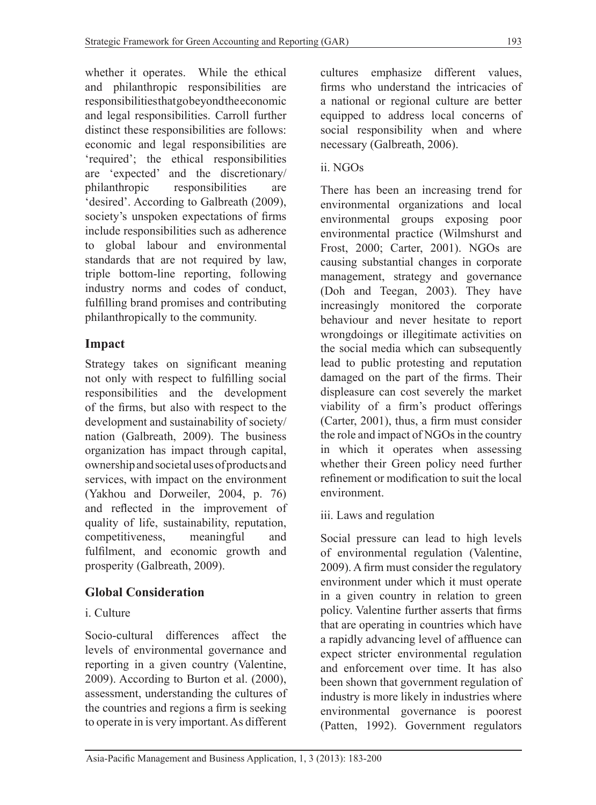whether it operates. While the ethical and philanthropic responsibilities are responsibilities that go beyond the economic and legal responsibilities. Carroll further distinct these responsibilities are follows: economic and legal responsibilities are 'required'; the ethical responsibilities are 'expected' and the discretionary/ philanthropic responsibilities are 'desired'. According to Galbreath (2009), society's unspoken expectations of firms include responsibilities such as adherence to global labour and environmental standards that are not required by law, triple bottom-line reporting, following industry norms and codes of conduct, fulfilling brand promises and contributing philanthropically to the community.

# **Impact**

Strategy takes on significant meaning not only with respect to fulfilling social responsibilities and the development of the firms, but also with respect to the development and sustainability of society/ nation (Galbreath, 2009). The business organization has impact through capital, ownership and societal uses of products and services, with impact on the environment (Yakhou and Dorweiler, 2004, p. 76) and reflected in the improvement of quality of life, sustainability, reputation, competitiveness, meaningful and fulfilment, and economic growth and prosperity (Galbreath, 2009).

# **Global Consideration**

# i. Culture

Socio-cultural differences affect the levels of environmental governance and reporting in a given country (Valentine, 2009). According to Burton et al. (2000), assessment, understanding the cultures of the countries and regions a firm is seeking to operate in is very important. As different cultures emphasize different values, firms who understand the intricacies of a national or regional culture are better equipped to address local concerns of social responsibility when and where necessary (Galbreath, 2006).

# ii. NGOs

There has been an increasing trend for environmental organizations and local environmental groups exposing poor environmental practice (Wilmshurst and Frost, 2000; Carter, 2001). NGOs are causing substantial changes in corporate management, strategy and governance (Doh and Teegan, 2003). They have increasingly monitored the corporate behaviour and never hesitate to report wrongdoings or illegitimate activities on the social media which can subsequently lead to public protesting and reputation damaged on the part of the firms. Their displeasure can cost severely the market viability of a firm's product offerings (Carter, 2001), thus, a firm must consider the role and impact of NGOs in the country in which it operates when assessing whether their Green policy need further refinement or modification to suit the local environment.

iii. Laws and regulation

Social pressure can lead to high levels of environmental regulation (Valentine, 2009). A firm must consider the regulatory environment under which it must operate in a given country in relation to green policy. Valentine further asserts that firms that are operating in countries which have a rapidly advancing level of affluence can expect stricter environmental regulation and enforcement over time. It has also been shown that government regulation of industry is more likely in industries where environmental governance is poorest (Patten, 1992). Government regulators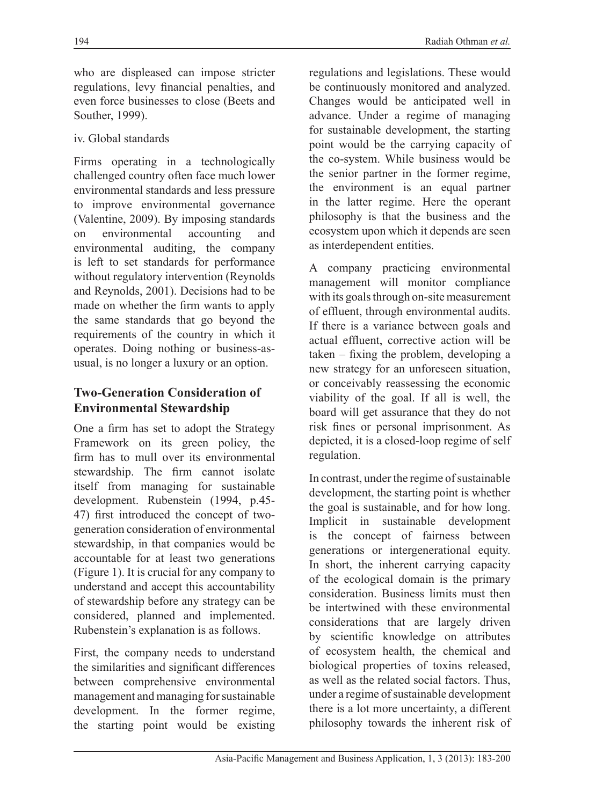who are displeased can impose stricter regulations, levy financial penalties, and even force businesses to close (Beets and Souther, 1999).

#### iv. Global standards

Firms operating in a technologically challenged country often face much lower environmental standards and less pressure to improve environmental governance (Valentine, 2009). By imposing standards<br>on environmental accounting and on environmental accounting and environmental auditing, the company is left to set standards for performance without regulatory intervention (Reynolds and Reynolds, 2001). Decisions had to be made on whether the firm wants to apply the same standards that go beyond the requirements of the country in which it operates. Doing nothing or business-asusual, is no longer a luxury or an option.

### **Two-Generation Consideration of Environmental Stewardship**

One a firm has set to adopt the Strategy Framework on its green policy, the firm has to mull over its environmental stewardship. The firm cannot isolate itself from managing for sustainable development. Rubenstein (1994, p.45- 47) first introduced the concept of twogeneration consideration of environmental stewardship, in that companies would be accountable for at least two generations (Figure 1). It is crucial for any company to understand and accept this accountability of stewardship before any strategy can be considered, planned and implemented. Rubenstein's explanation is as follows.

First, the company needs to understand the similarities and significant differences between comprehensive environmental management and managing for sustainable development. In the former regime, the starting point would be existing

regulations and legislations. These would be continuously monitored and analyzed. Changes would be anticipated well in advance. Under a regime of managing for sustainable development, the starting point would be the carrying capacity of the co-system. While business would be the senior partner in the former regime, the environment is an equal partner in the latter regime. Here the operant philosophy is that the business and the ecosystem upon which it depends are seen as interdependent entities.

A company practicing environmental management will monitor compliance with its goals through on-site measurement of effluent, through environmental audits. If there is a variance between goals and actual effluent, corrective action will be taken – fixing the problem, developing a new strategy for an unforeseen situation, or conceivably reassessing the economic viability of the goal. If all is well, the board will get assurance that they do not risk fines or personal imprisonment. As depicted, it is a closed-loop regime of self regulation.

In contrast, under the regime of sustainable development, the starting point is whether the goal is sustainable, and for how long. Implicit in sustainable development is the concept of fairness between generations or intergenerational equity. In short, the inherent carrying capacity of the ecological domain is the primary consideration. Business limits must then be intertwined with these environmental considerations that are largely driven by scientific knowledge on attributes of ecosystem health, the chemical and biological properties of toxins released, as well as the related social factors. Thus, under a regime of sustainable development there is a lot more uncertainty, a different philosophy towards the inherent risk of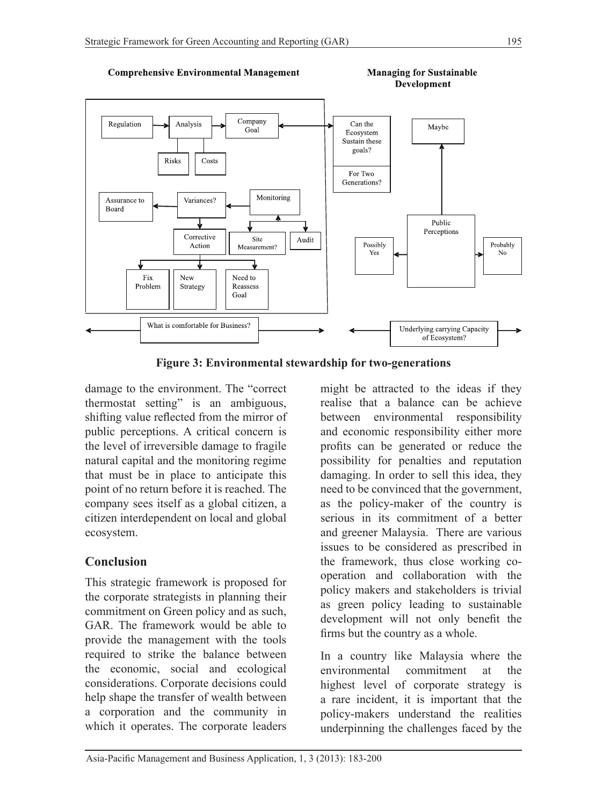

**Figure 3: Environmental stewardship for two-generations**

damage to the environment. The "correct thermostat setting" is an ambiguous, shifting value reflected from the mirror of public perceptions. A critical concern is the level of irreversible damage to fragile natural capital and the monitoring regime that must be in place to anticipate this point of no return before it is reached. The company sees itself as a global citizen, a citizen interdependent on local and global ecosystem.

## **Conclusion**

This strategic framework is proposed for the corporate strategists in planning their commitment on Green policy and as such, GAR. The framework would be able to provide the management with the tools required to strike the balance between the economic, social and ecological considerations. Corporate decisions could help shape the transfer of wealth between a corporation and the community in which it operates. The corporate leaders might be attracted to the ideas if they realise that a balance can be achieve between environmental responsibility and economic responsibility either more profits can be generated or reduce the possibility for penalties and reputation damaging. In order to sell this idea, they need to be convinced that the government, as the policy-maker of the country is serious in its commitment of a better and greener Malaysia. There are various issues to be considered as prescribed in the framework, thus close working cooperation and collaboration with the policy makers and stakeholders is trivial as green policy leading to sustainable development will not only benefit the firms but the country as a whole.

In a country like Malaysia where the environmental commitment at the highest level of corporate strategy is a rare incident, it is important that the policy-makers understand the realities underpinning the challenges faced by the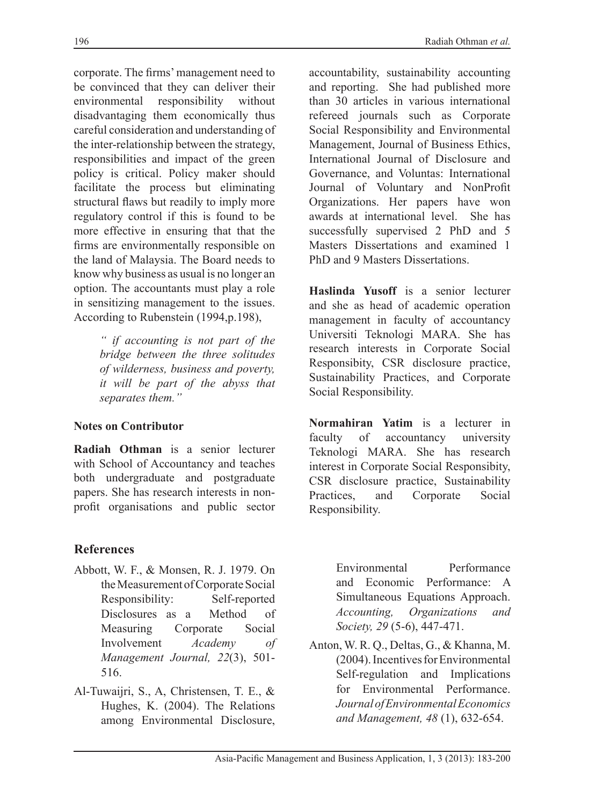corporate. The firms' management need to be convinced that they can deliver their environmental responsibility without disadvantaging them economically thus careful consideration and understanding of the inter-relationship between the strategy, responsibilities and impact of the green policy is critical. Policy maker should facilitate the process but eliminating structural flaws but readily to imply more regulatory control if this is found to be more effective in ensuring that that the firms are environmentally responsible on the land of Malaysia. The Board needs to know why business as usual is no longer an option. The accountants must play a role in sensitizing management to the issues. According to Rubenstein (1994,p.198),

> *" if accounting is not part of the bridge between the three solitudes of wilderness, business and poverty, it will be part of the abyss that separates them."*

#### **Notes on Contributor**

**Radiah Othman** is a senior lecturer with School of Accountancy and teaches both undergraduate and postgraduate papers. She has research interests in nonprofit organisations and public sector

### **References**

- Abbott, W. F., & Monsen, R. J. 1979. On the Measurement of Corporate Social Responsibility: Self-reported Disclosures as a Method of Measuring Corporate Social Involvement *Academy of Management Journal, 22*(3), 501- 516.
- Al-Tuwaijri, S., A, Christensen, T. E., & Hughes, K. (2004). The Relations among Environmental Disclosure,

accountability, sustainability accounting and reporting. She had published more than 30 articles in various international refereed journals such as Corporate Social Responsibility and Environmental Management, Journal of Business Ethics, International Journal of Disclosure and Governance, and Voluntas: International Journal of Voluntary and NonProfit Organizations. Her papers have won awards at international level. She has successfully supervised 2 PhD and 5 Masters Dissertations and examined 1 PhD and 9 Masters Dissertations.

**Haslinda Yusoff** is a senior lecturer and she as head of academic operation management in faculty of accountancy Universiti Teknologi MARA. She has research interests in Corporate Social Responsibity, CSR disclosure practice, Sustainability Practices, and Corporate Social Responsibility.

**Normahiran Yatim** is a lecturer in faculty of accountancy university Teknologi MARA. She has research interest in Corporate Social Responsibity, CSR disclosure practice, Sustainability Practices, and Corporate Social Responsibility.

Environmental Performance and Economic Performance: A Simultaneous Equations Approach. *Accounting, Organizations and Society, 29* (5-6), 447-471.

Anton, W. R. Q., Deltas, G., & Khanna, M. (2004). Incentives for Environmental Self-regulation and Implications for Environmental Performance. *JournalofEnvironmentalEconomics and Management, 48* (1), 632-654.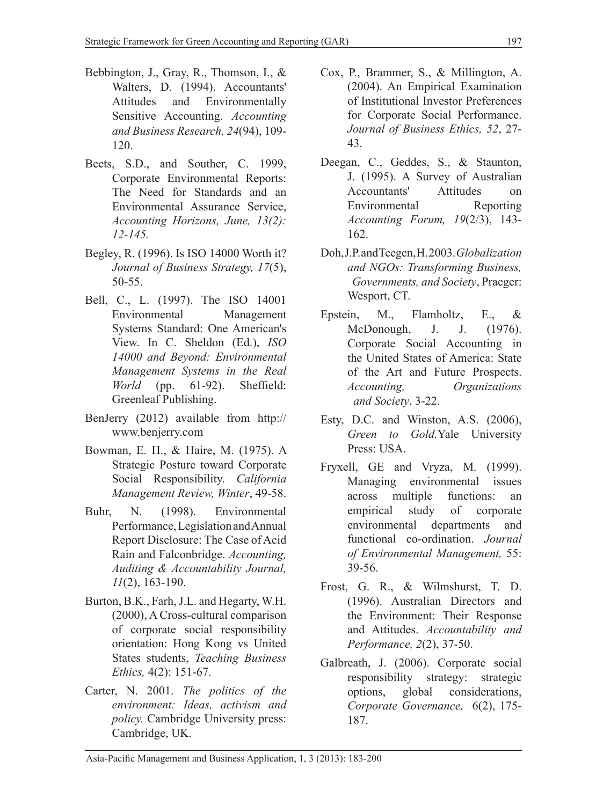- Bebbington, J., Gray, R., Thomson, I., & Walters, D. (1994). Accountants' Attitudes and Environmentally Sensitive Accounting. *Accounting and Business Research, 24*(94), 109- 120.
- Beets, S.D., and Souther, C. 1999, Corporate Environmental Reports: The Need for Standards and an Environmental Assurance Service, *Accounting Horizons, June, 13(2): 12-145.*
- Begley, R. (1996). Is ISO 14000 Worth it? *Journal of Business Strategy, 17*(5), 50-55.
- Bell, C., L. (1997). The ISO 14001 Environmental Management Systems Standard: One American's View. In C. Sheldon (Ed.), *ISO 14000 and Beyond: Environmental Management Systems in the Real World* (pp. 61-92). Sheffield: Greenleaf Publishing.
- BenJerry (2012) available from http:// www.benjerry.com
- Bowman, E. H., & Haire, M. (1975). A Strategic Posture toward Corporate Social Responsibility. *California Management Review, Winter*, 49-58.
- Buhr, N. (1998). Environmental Performance, Legislation and Annual Report Disclosure: The Case of Acid Rain and Falconbridge. *Accounting, Auditing & Accountability Journal, 11*(2), 163-190.
- Burton, B.K., Farh, J.L. and Hegarty, W.H. (2000), A Cross-cultural comparison of corporate social responsibility orientation: Hong Kong vs United States students, *Teaching Business Ethics,* 4(2): 151-67.
- Carter, N. 2001. *The politics of the environment: Ideas, activism and policy.* Cambridge University press: Cambridge, UK.
- Cox, P., Brammer, S., & Millington, A. (2004). An Empirical Examination of Institutional Investor Preferences for Corporate Social Performance. *Journal of Business Ethics, 52*, 27- 43.
- Deegan, C., Geddes, S., & Staunton, J. (1995). A Survey of Australian Accountants' Attitudes on Environmental Reporting *Accounting Forum, 19*(2/3), 143- 162.
- Doh, J.P. and Teegen, H. 2003. *Globalization and NGOs: Transforming Business, Governments, and Society*, Praeger: Wesport, CT.
- Epstein, M., Flamholtz, E., & McDonough, J. J. (1976). Corporate Social Accounting in the United States of America: State of the Art and Future Prospects. *Accounting, Organizations and Society*, 3-22.
- Esty, D.C. and Winston, A.S. (2006), *Green to Gold.*Yale University Press: USA.
- Fryxell, GE and Vryza, M. (1999). Managing environmental issues across multiple functions: an empirical study of corporate environmental departments and functional co-ordination. *Journal of Environmental Management,* 55: 39-56.
- Frost, G. R., & Wilmshurst, T. D. (1996). Australian Directors and the Environment: Their Response and Attitudes. *Accountability and Performance, 2*(2), 37-50.
- Galbreath, J. (2006). Corporate social responsibility strategy: strategic options, global considerations, *Corporate Governance,* 6(2), 175- 187.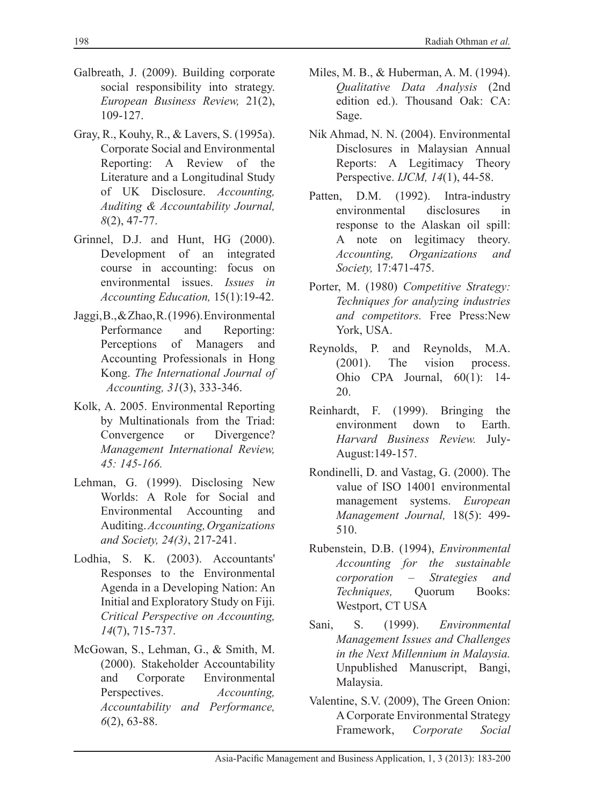- Galbreath, J. (2009). Building corporate social responsibility into strategy. *European Business Review,* 21(2), 109-127.
- Gray, R., Kouhy, R., & Lavers, S. (1995a). Corporate Social and Environmental Reporting: A Review of the Literature and a Longitudinal Study of UK Disclosure. *Accounting, Auditing & Accountability Journal, 8*(2), 47-77.
- Grinnel, D.J. and Hunt, HG (2000). Development of an integrated course in accounting: focus on environmental issues. *Issues in Accounting Education,* 15(1):19-42.
- Jaggi, B., & Zhao, R. (1996). Environmental Performance and Reporting: Perceptions of Managers and Accounting Professionals in Hong Kong. *The International Journal of Accounting, 31*(3), 333-346.
- Kolk, A. 2005. Environmental Reporting by Multinationals from the Triad: Convergence or Divergence? *Management International Review, 45: 145-166.*
- Lehman, G. (1999). Disclosing New Worlds: A Role for Social and Environmental Accounting and Auditing. *Accounting,Organizations and Society, 24(3)*, 217-241.
- Lodhia, S. K. (2003). Accountants' Responses to the Environmental Agenda in a Developing Nation: An Initial and Exploratory Study on Fiji. *Critical Perspective on Accounting, 14*(7), 715-737.
- McGowan, S., Lehman, G., & Smith, M. (2000). Stakeholder Accountability and Corporate Environmental Perspectives. *Accounting, Accountability and Performance, 6*(2), 63-88.
- Miles, M. B., & Huberman, A. M. (1994). *Qualitative Data Analysis* (2nd edition ed.). Thousand Oak: CA: Sage.
- Nik Ahmad, N. N. (2004). Environmental Disclosures in Malaysian Annual Reports: A Legitimacy Theory Perspective. *IJCM, 14*(1), 44-58.
- Patten, D.M. (1992). Intra-industry environmental disclosures in response to the Alaskan oil spill: A note on legitimacy theory. *Accounting, Organizations and Society,* 17:471-475.
- Porter, M. (1980) *Competitive Strategy: Techniques for analyzing industries and competitors.* Free Press:New York, USA.
- Reynolds, P. and Reynolds, M.A. (2001). The vision process. Ohio CPA Journal, 60(1): 14- 20.
- Reinhardt, F. (1999). Bringing the environment down to Earth. *Harvard Business Review.* July-August:149-157.
- Rondinelli, D. and Vastag, G. (2000). The value of ISO 14001 environmental management systems. *European Management Journal,* 18(5): 499- 510.
- Rubenstein, D.B. (1994), *Environmental Accounting for the sustainable corporation – Strategies and Techniques,* Quorum Books: Westport, CT USA
- Sani, S. (1999). *Environmental Management Issues and Challenges in the Next Millennium in Malaysia.* Unpublished Manuscript, Bangi, Malaysia.
- Valentine, S.V. (2009), The Green Onion: A Corporate Environmental Strategy Framework, *Corporate Social*